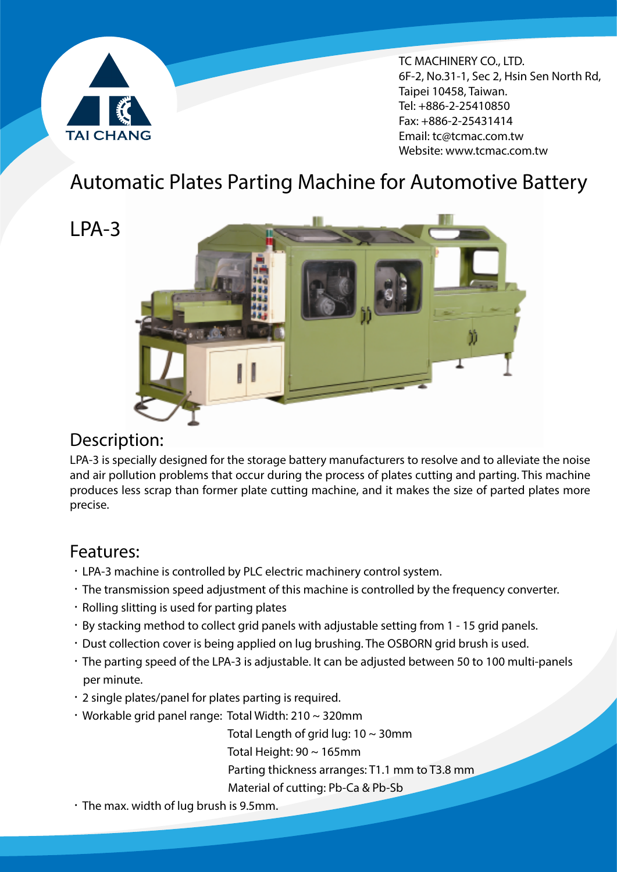

 $\frac{1}{2}$ TC MACHINERY CO., LTD. 6F-2, No.31-1, Sec 2, Hsin Sen North Rd, Taipei 10458, Taiwan. Tel: +886-2-25410850 Fax: +886-2-25431414 Email: tc@tcmac.com.tw Website: www.tcmac.com.tw

# Automatic Plates Parting Machine for Automotive Battery

LPA-3



## Description:

LPA-3 is specially designed for the storage battery manufacturers to resolve and to alleviate the noise and air pollution problems that occur during the process of plates cutting and parting. This machine produces less scrap than former plate cutting machine, and it makes the size of parted plates more precise.

### Features:

- ‧LPA-3 machine is controlled by PLC electric machinery control system.
- ‧The transmission speed adjustment of this machine is controlled by the frequency converter.
- ‧Rolling slitting is used for parting plates
- ‧By stacking method to collect grid panels with adjustable setting from 1 15 grid panels.
- ‧Dust collection cover is being applied on lug brushing. The OSBORN grid brush is used.
- ‧The parting speed of the LPA-3 is adjustable. It can be adjusted between 50 to 100 multi-panels per minute.
- ‧2 single plates/panel for plates parting is required.
- ‧Workable grid panel range: Total Width: 210 ~ 320mm

Total Length of grid lug:  $10 \sim 30$ mm

Total Height:  $90 \sim 165$ mm

Parting thickness arranges: T1.1 mm to T3.8 mm

Material of cutting: Pb-Ca & Pb-Sb

‧The max. width of lug brush is 9.5mm.